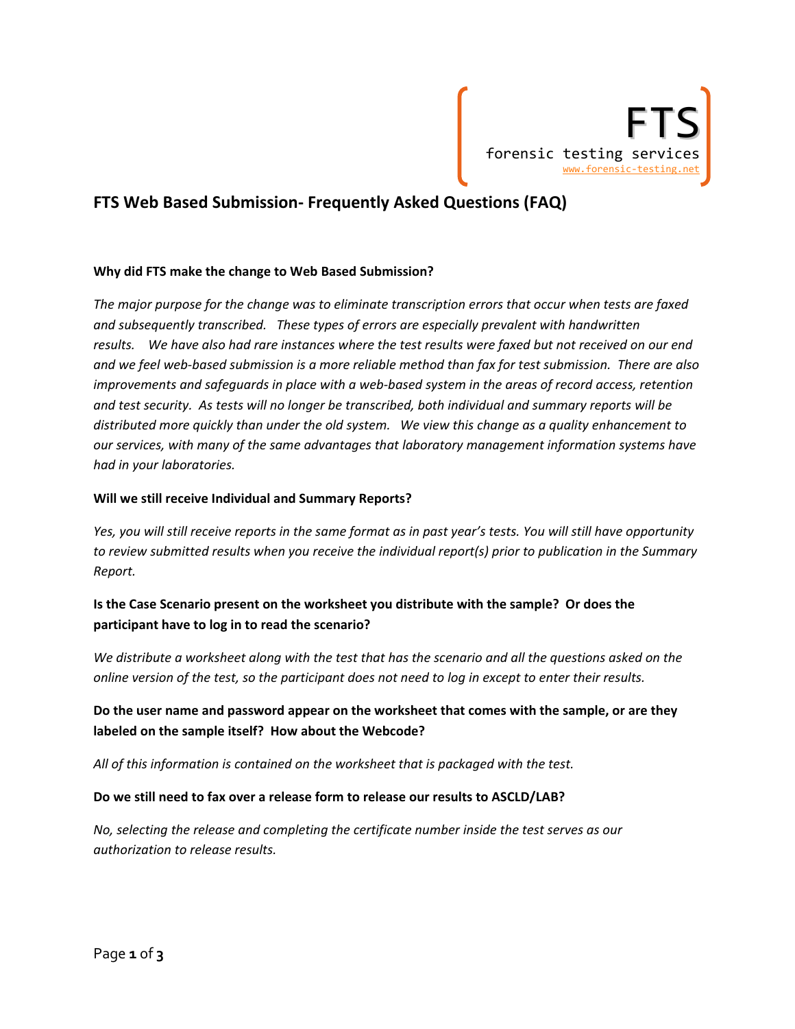

# **FTS Web Based Submission‐ Frequently Asked Questions (FAQ)**

#### **Why did FTS make the change to Web Based Submission?**

*The major purpose for the change was to eliminate transcription errors that occur when tests are faxed and subsequently transcribed. These types of errors are especially prevalent with handwritten* results. We have also had rare instances where the test results were faxed but not received on our end and we feel web-based submission is a more reliable method than fax for test submission. There are also improvements and safeguards in place with a web-based system in the areas of record access, retention and test security. As tests will no longer be transcribed, both individual and summary reports will be distributed more quickly than under the old system. We view this change as a quality enhancement to *our services, with many of the same advantages that laboratory management information systems have had in your laboratories.* 

#### **Will we still receive Individual and Summary Reports?**

Yes, you will still receive reports in the same format as in past year's tests. You will still have opportunity *to review submitted results when you receive the individual report(s) prior to publication in the Summary Report.*

# **Is the Case Scenario present on the worksheet you distribute with the sample? Or does the participant have to log in to read the scenario?**

We distribute a worksheet along with the test that has the scenario and all the questions asked on the online version of the test, so the participant does not need to log in except to enter their results.

# **Do the user name and password appear on the worksheet that comes with the sample, or are they labeled on the sample itself? How about the Webcode?**

*All of this information is contained on the worksheet that is packaged with the test.*

#### **Do we still need to fax over a release form to release our results to ASCLD/LAB?**

*No, selecting the release and completing the certificate number inside the test serves as our authorization to release results.*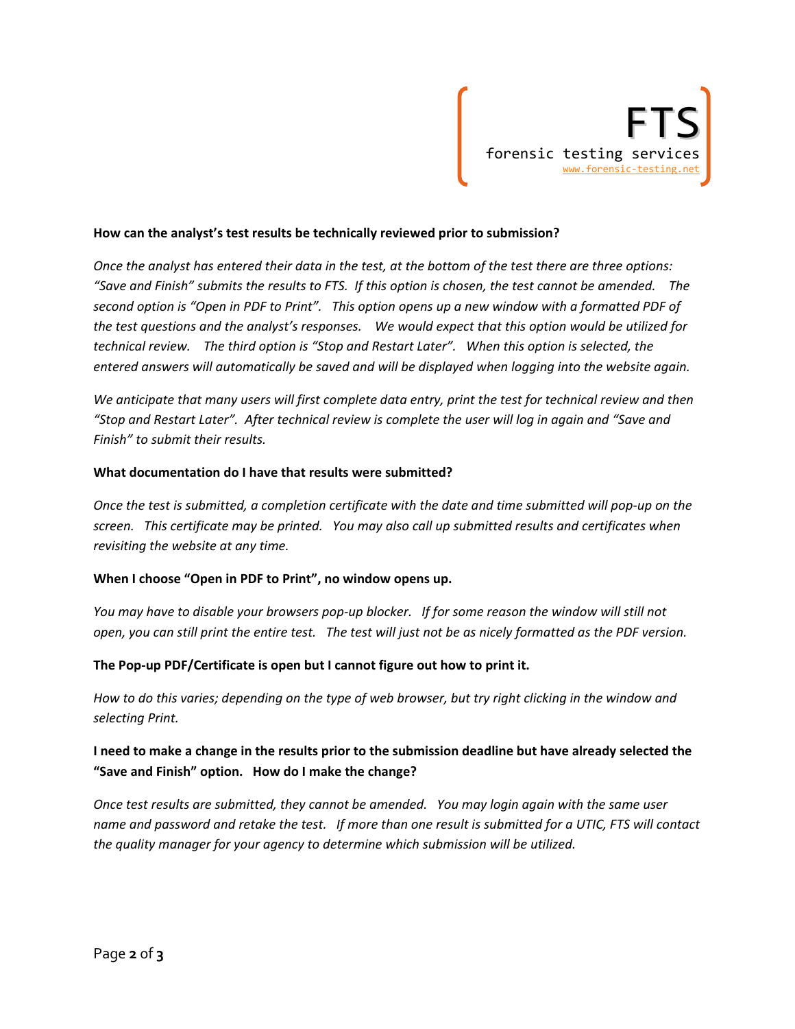#### **How can the analyst's test results be technically reviewed prior to submission?**

Once the analyst has entered their data in the test, at the bottom of the test there are three options: "Save and Finish" submits the results to FTS. If this option is chosen, the test cannot be amended. The second option is "Open in PDF to Print". This option opens up a new window with a formatted PDF of the test questions and the analyst's responses. We would expect that this option would be utilized for technical review. The third option is "Stop and Restart Later". When this option is selected, the *entered answers will automatically be saved and will be displayed when logging into the website again.*

We anticipate that many users will first complete data entry, print the test for technical review and then "Stop and Restart Later". After technical review is complete the user will log in again and "Save and *Finish" to submit their results.*

#### **What documentation do I have that results were submitted?**

Once the test is submitted, a completion certificate with the date and time submitted will pop-up on the screen. This certificate may be printed. You may also call up submitted results and certificates when *revisiting the website at any time.*

#### **When I choose "Open in PDF to Print", no window opens up.**

You may have to disable your browsers pop-up blocker. If for some reason the window will still not open, you can still print the entire test. The test will just not be as nicely formatted as the PDF version.

#### **The Pop‐up PDF/Certificate is open but I cannot figure out how to print it.**

How to do this varies; depending on the type of web browser, but try right clicking in the window and *selecting Print.*

### I need to make a change in the results prior to the submission deadline but have already selected the **"Save and Finish" option. How do I make the change?**

*Once test results are submitted, they cannot be amended. You may login again with the same user* name and password and retake the test. If more than one result is submitted for a UTIC, FTS will contact *the quality manager for your agency to determine which submission will be utilized.*